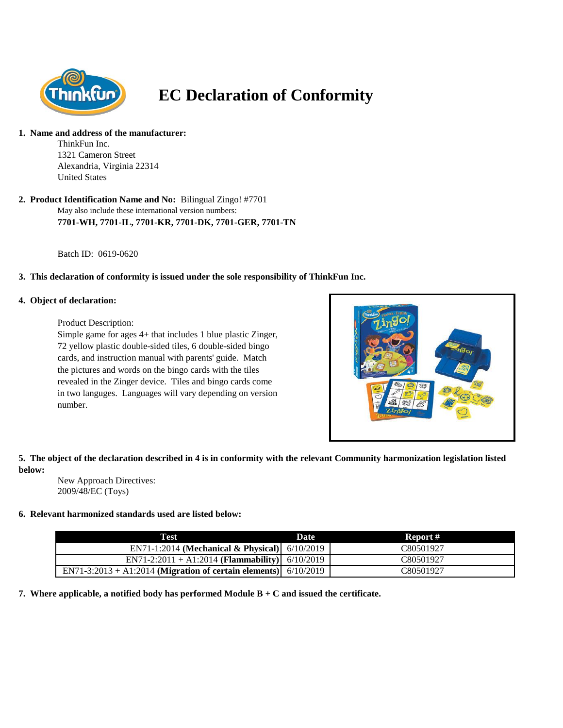

# **EC Declaration of Conformity**

#### **1. Name and address of the manufacturer:**

ThinkFun Inc. 1321 Cameron Street Alexandria, Virginia 22314 United States

May also include these international version numbers: **7701-WH, 7701-IL, 7701-KR, 7701-DK, 7701-GER, 7701-TN 2. Product Identification Name and No:** Bilingual Zingo! #7701

Batch ID: 0619-0620

## **3. This declaration of conformity is issued under the sole responsibility of ThinkFun Inc.**

## **4. Object of declaration:**

Product Description:

Simple game for ages 4+ that includes 1 blue plastic Zinger, 72 yellow plastic double-sided tiles, 6 double-sided bingo cards, and instruction manual with parents' guide. Match the pictures and words on the bingo cards with the tiles revealed in the Zinger device. Tiles and bingo cards come in two languges. Languages will vary depending on version number.



## **5. The object of the declaration described in 4 is in conformity with the relevant Community harmonization legislation listed below:**

New Approach Directives: 2009/48/EC (Toys)

## **6. Relevant harmonized standards used are listed below:**

| Test                                                              | <b>Date</b> | Report #  |
|-------------------------------------------------------------------|-------------|-----------|
| EN71-1:2014 (Mechanical & Physical) 6/10/2019                     |             | C80501927 |
| EN71-2:2011 + A1:2014 ( <b>Flammability</b> ) 6/10/2019           |             | C80501927 |
| EN71-3:2013 + A1:2014 (Migration of certain elements) $6/10/2019$ |             | C80501927 |

## **7. Where applicable, a notified body has performed Module B + C and issued the certificate.**